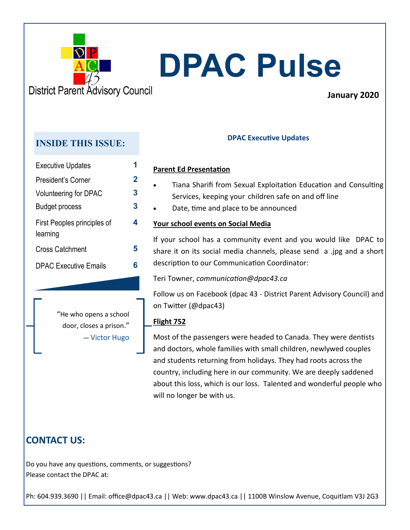

## **January 2020**

# **INSIDE THIS ISSUE: DPAC Executive Updates**

| <b>Executive Updates</b>                |   |
|-----------------------------------------|---|
| President's Corner                      | 2 |
| Volunteering for DPAC                   | 3 |
| Budget process                          | 3 |
| First Peoples principles of<br>learning | 4 |
| <b>Cross Catchment</b>                  | 5 |
| <b>DPAC Executive Emails</b>            | R |

### **Parent Ed Presentation**

- Tiana Sharifi from Sexual Exploitation Education and Consulting Services, keeping your children safe on and off line
- Date, time and place to be announced

### **Your school events on Social Media**

If your school has a community event and you would like DPAC to share it on its social media channels, please send a .jpg and a short description to our Communication Coordinator:

Teri Towner, *communication@dpac43.ca*

Follow us on Facebook (dpac 43 - District Parent Advisory Council) and on Twitter (@dpac43)

### **Flight 752**

**4**

Most of the passengers were headed to Canada. They were dentists and doctors, whole families with small children, newlywed couples and students returning from holidays. They had roots across the country, including here in our community. We are deeply saddened about this loss, which is our loss. Talented and wonderful people who will no longer be with us.

"He who opens a school door, closes a prison." ― Victor Hugo

## **CONTACT US:**

Do you have any questions, comments, or suggestions? Please contact the DPAC at: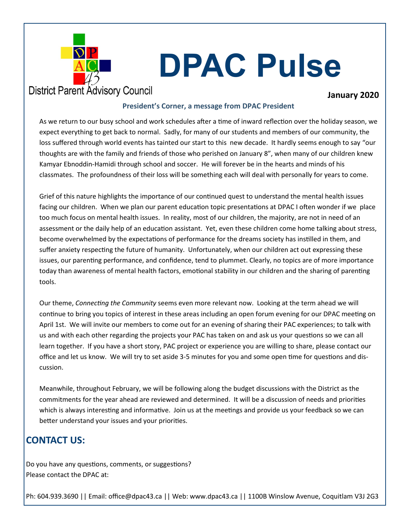

## **District Parent Advisory Council**

### **January 2020**

#### **President's Corner, a message from DPAC President**

As we return to our busy school and work schedules after a time of inward reflection over the holiday season, we expect everything to get back to normal. Sadly, for many of our students and members of our community, the loss suffered through world events has tainted our start to this new decade. It hardly seems enough to say "our thoughts are with the family and friends of those who perished on January 8", when many of our children knew Kamyar Ebnoddin-Hamidi through school and soccer. He will forever be in the hearts and minds of his classmates. The profoundness of their loss will be something each will deal with personally for years to come.

Grief of this nature highlights the importance of our continued quest to understand the mental health issues facing our children. When we plan our parent education topic presentations at DPAC I often wonder if we place too much focus on mental health issues. In reality, most of our children, the majority, are not in need of an assessment or the daily help of an education assistant. Yet, even these children come home talking about stress, become overwhelmed by the expectations of performance for the dreams society has instilled in them, and suffer anxiety respecting the future of humanity. Unfortunately, when our children act out expressing these issues, our parenting performance, and confidence, tend to plummet. Clearly, no topics are of more importance today than awareness of mental health factors, emotional stability in our children and the sharing of parenting tools.

Our theme, *Connecting the Community* seems even more relevant now. Looking at the term ahead we will continue to bring you topics of interest in these areas including an open forum evening for our DPAC meeting on April 1st. We will invite our members to come out for an evening of sharing their PAC experiences; to talk with us and with each other regarding the projects your PAC has taken on and ask us your questions so we can all learn together. If you have a short story, PAC project or experience you are willing to share, please contact our office and let us know. We will try to set aside 3-5 minutes for you and some open time for questions and discussion.

Meanwhile, throughout February, we will be following along the budget discussions with the District as the commitments for the year ahead are reviewed and determined. It will be a discussion of needs and priorities which is always interesting and informative. Join us at the meetings and provide us your feedback so we can better understand your issues and your priorities.

## **CONTACT US:**

Do you have any questions, comments, or suggestions? Please contact the DPAC at: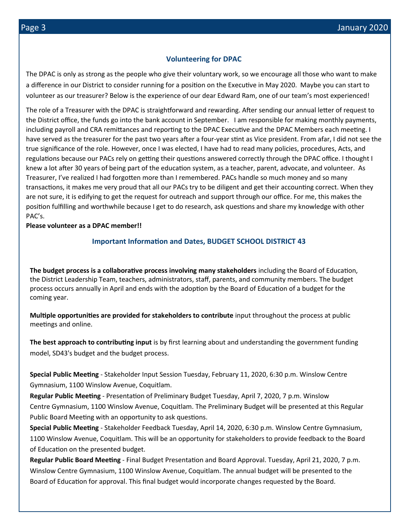#### **Volunteering for DPAC**

The DPAC is only as strong as the people who give their voluntary work, so we encourage all those who want to make a difference in our District to consider running for a position on the Executive in May 2020. Maybe you can start to volunteer as our treasurer? Below is the experience of our dear Edward Ram, one of our team's most experienced!

The role of a Treasurer with the DPAC is straightforward and rewarding. After sending our annual letter of request to the District office, the funds go into the bank account in September. I am responsible for making monthly payments, including payroll and CRA remittances and reporting to the DPAC Executive and the DPAC Members each meeting. I have served as the treasurer for the past two years after a four-year stint as Vice president. From afar, I did not see the true significance of the role. However, once I was elected, I have had to read many policies, procedures, Acts, and regulations because our PACs rely on getting their questions answered correctly through the DPAC office. I thought I knew a lot after 30 years of being part of the education system, as a teacher, parent, advocate, and volunteer. As Treasurer, I've realized I had forgotten more than I remembered. PACs handle so much money and so many transactions, it makes me very proud that all our PACs try to be diligent and get their accounting correct. When they are not sure, it is edifying to get the request for outreach and support through our office. For me, this makes the position fulfilling and worthwhile because I get to do research, ask questions and share my knowledge with other PAC's.

#### **Please volunteer as a DPAC member!!**

#### **Important Information and Dates, BUDGET SCHOOL DISTRICT 43**

**The budget process is a collaborative process involving many stakeholders** including the Board of Education, the District Leadership Team, teachers, administrators, staff, parents, and community members. The budget process occurs annually in April and ends with the adoption by the Board of Education of a budget for the coming year.

**Multiple opportunities are provided for stakeholders to contribute** input throughout the process at public meetings and online.

**The best approach to contributing input** is by first learning about and understanding the government funding model, SD43's budget and the budget process.

**Special Public Meeting** - Stakeholder Input Session Tuesday, February 11, 2020, 6:30 p.m. Winslow Centre Gymnasium, 1100 Winslow Avenue, Coquitlam.

**Regular Public Meeting** - Presentation of Preliminary Budget Tuesday, April 7, 2020, 7 p.m. Winslow Centre Gymnasium, 1100 Winslow Avenue, Coquitlam. The Preliminary Budget will be presented at this Regular Public Board Meeting with an opportunity to ask questions.

**Special Public Meeting** - Stakeholder Feedback Tuesday, April 14, 2020, 6:30 p.m. Winslow Centre Gymnasium, 1100 Winslow Avenue, Coquitlam. This will be an opportunity for stakeholders to provide feedback to the Board of Education on the presented budget.

**Regular Public Board Meeting** - Final Budget Presentation and Board Approval. Tuesday, April 21, 2020, 7 p.m. Winslow Centre Gymnasium, 1100 Winslow Avenue, Coquitlam. The annual budget will be presented to the Board of Education for approval. This final budget would incorporate changes requested by the Board.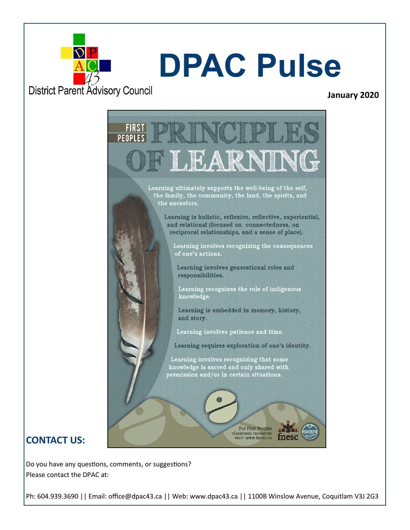

#### **January 2020**

**FIRS PFNP** ARR Learning ultimately supports the well-being of the self, the family, the community, the land, the spirits, and the ancestors. Learning is holistic, reflexive, reflective, experiential, and relational (focused on connectedness, on reciprocal relationships, and a sense of place). Learning involves recognizing the consequences of one's actions. Learning involves generational roles and responsibilities. Learning recognizes the role of indigenous knowledge. Learning is embedded in memory, history, and story. Learning involves patience and time. Learning requires exploration of one's identity. Learning involves recognizing that some knowledge is sacred and only shared with<br>permission and/or in certain situations. For First Peoples classroom resources visit: www.fnesc.ca

## **CONTACT US:**

Do you have any questions, comments, or suggestions? Please contact the DPAC at: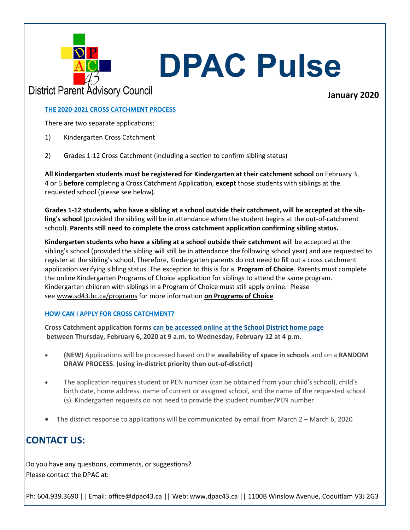

## **District Parent Advisory Council**

## **January 2020**

#### **THE 2020-2021 CROSS CATCHMENT PROCESS**

There are two separate applications:

- 1) Kindergarten Cross Catchment
- 2) Grades 1-12 Cross Catchment (including a section to confirm sibling status)

**All Kindergarten students must be registered for Kindergarten at their catchment school** on February 3, 4 or 5 **before** completing a Cross Catchment Application, **except** those students with siblings at the requested school (please see below).

**Grades 1-12 students, who have a sibling at a school outside their catchment, will be accepted at the sibling's school** (provided the sibling will be in attendance when the student begins at the out-of-catchment school). **Parents still need to complete the cross catchment application confirming sibling status.**

**Kindergarten students who have a sibling at a school outside their catchment** will be accepted at the sibling's school (provided the sibling will still be in attendance the following school year) and are requested to register at the sibling's school. Therefore, Kindergarten parents do not need to fill out a cross catchment application verifying sibling status. The exception to this is for a **Program of Choice**. Parents must complete the online Kindergarten Programs of Choice application for siblings to attend the same program. Kindergarten children with siblings in a Program of Choice must still apply online. Please see [www.sd43.bc.ca/programs](http://www.sd43.bc.ca/programs) for more information **on Programs of Choice**

#### **HOW CAN I APPLY FOR CROSS CATCHMENT?**

**Cross Catchment application forms [can be accessed online at](http://www.sd43.bc.ca/Pages/default.aspx#/=) the School District home page between Thursday, February 6, 2020 at 9 a.m. to Wednesday, February 12 at 4 p.m.**

- **(NEW)** Applications will be processed based on the **availability of space in schools** and on a **RANDOM DRAW PROCESS**. **(using in-district priority then out-of-district)**
- The application requires student or PEN number (can be obtained from your child's school), child's birth date, home address, name of current or assigned school, and the name of the requested school (s). Kindergarten requests do not need to provide the student number/PEN number.
- The district response to applications will be communicated by email from March 2 March 6, 2020

## **CONTACT US:**

Do you have any questions, comments, or suggestions? Please contact the DPAC at: